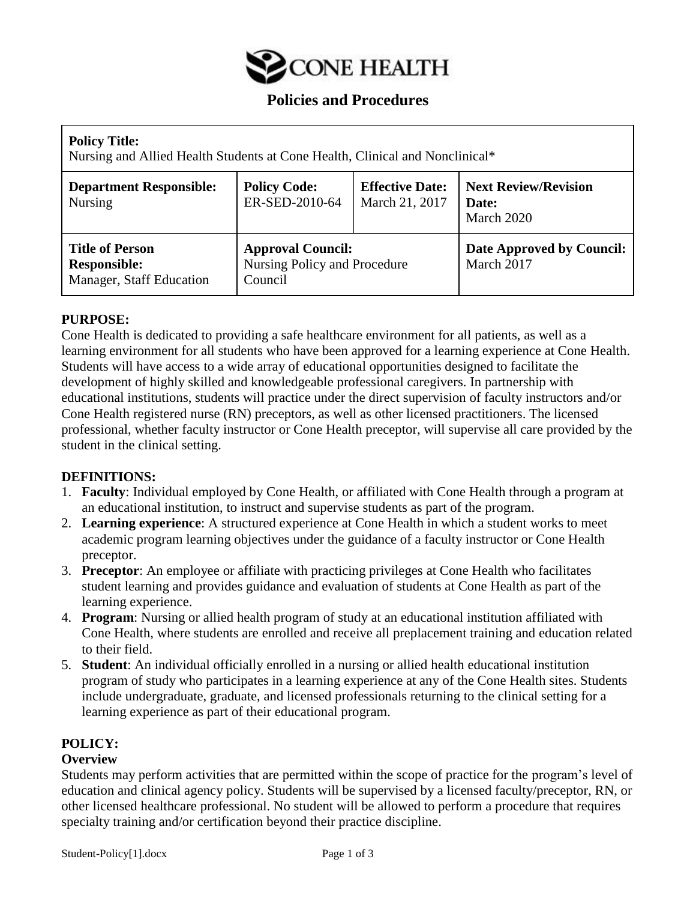

# **Policies and Procedures**

| <b>Policy Title:</b><br>Nursing and Allied Health Students at Cone Health, Clinical and Nonclinical* |                                                                     |                                          |                                                    |  |  |
|------------------------------------------------------------------------------------------------------|---------------------------------------------------------------------|------------------------------------------|----------------------------------------------------|--|--|
| <b>Department Responsible:</b><br><b>Nursing</b>                                                     | <b>Policy Code:</b><br>ER-SED-2010-64                               | <b>Effective Date:</b><br>March 21, 2017 | <b>Next Review/Revision</b><br>Date:<br>March 2020 |  |  |
| <b>Title of Person</b><br><b>Responsible:</b><br>Manager, Staff Education                            | <b>Approval Council:</b><br>Nursing Policy and Procedure<br>Council |                                          | Date Approved by Council:<br>March 2017            |  |  |

#### **PURPOSE:**

Cone Health is dedicated to providing a safe healthcare environment for all patients, as well as a learning environment for all students who have been approved for a learning experience at Cone Health. Students will have access to a wide array of educational opportunities designed to facilitate the development of highly skilled and knowledgeable professional caregivers. In partnership with educational institutions, students will practice under the direct supervision of faculty instructors and/or Cone Health registered nurse (RN) preceptors, as well as other licensed practitioners. The licensed professional, whether faculty instructor or Cone Health preceptor, will supervise all care provided by the student in the clinical setting.

#### **DEFINITIONS:**

- 1. **Faculty**: Individual employed by Cone Health, or affiliated with Cone Health through a program at an educational institution, to instruct and supervise students as part of the program.
- 2. **Learning experience**: A structured experience at Cone Health in which a student works to meet academic program learning objectives under the guidance of a faculty instructor or Cone Health preceptor.
- 3. **Preceptor**: An employee or affiliate with practicing privileges at Cone Health who facilitates student learning and provides guidance and evaluation of students at Cone Health as part of the learning experience.
- 4. **Program**: Nursing or allied health program of study at an educational institution affiliated with Cone Health, where students are enrolled and receive all preplacement training and education related to their field.
- 5. **Student**: An individual officially enrolled in a nursing or allied health educational institution program of study who participates in a learning experience at any of the Cone Health sites. Students include undergraduate, graduate, and licensed professionals returning to the clinical setting for a learning experience as part of their educational program.

#### **POLICY:**

#### **Overview**

Students may perform activities that are permitted within the scope of practice for the program's level of education and clinical agency policy. Students will be supervised by a licensed faculty/preceptor, RN, or other licensed healthcare professional. No student will be allowed to perform a procedure that requires specialty training and/or certification beyond their practice discipline.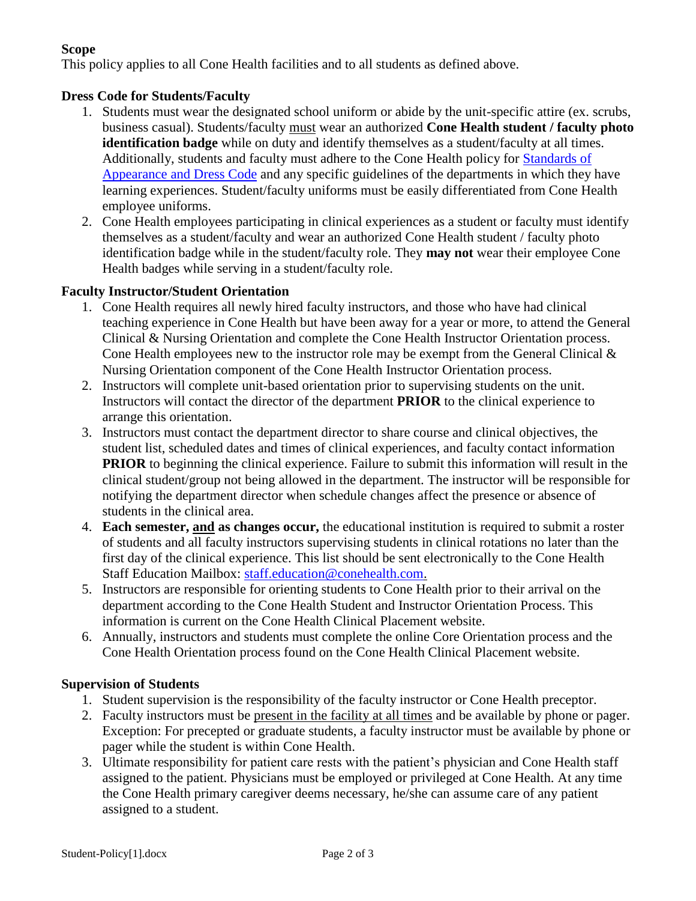# **Scope**

This policy applies to all Cone Health facilities and to all students as defined above.

# **Dress Code for Students/Faculty**

- 1. Students must wear the designated school uniform or abide by the unit-specific attire (ex. scrubs, business casual). Students/faculty must wear an authorized **Cone Health student / faculty photo identification badge** while on duty and identify themselves as a student/faculty at all times. Additionally, students and faculty must adhere to the Cone Health policy for [Standards of](https://conehealth.sharepoint.com/sites/policiesprocedures/Lists/Policy%20Updates/DispForm.aspx?ID=100)  [Appearance and Dress Code](https://conehealth.sharepoint.com/sites/policiesprocedures/Lists/Policy%20Updates/DispForm.aspx?ID=100) and any specific guidelines of the departments in which they have learning experiences. Student/faculty uniforms must be easily differentiated from Cone Health employee uniforms.
- 2. Cone Health employees participating in clinical experiences as a student or faculty must identify themselves as a student/faculty and wear an authorized Cone Health student / faculty photo identification badge while in the student/faculty role. They **may not** wear their employee Cone Health badges while serving in a student/faculty role.

#### **Faculty Instructor/Student Orientation**

- 1. Cone Health requires all newly hired faculty instructors, and those who have had clinical teaching experience in Cone Health but have been away for a year or more, to attend the General Clinical & Nursing Orientation and complete the Cone Health Instructor Orientation process. Cone Health employees new to the instructor role may be exempt from the General Clinical  $\&$ Nursing Orientation component of the Cone Health Instructor Orientation process.
- 2. Instructors will complete unit-based orientation prior to supervising students on the unit. Instructors will contact the director of the department **PRIOR** to the clinical experience to arrange this orientation.
- 3. Instructors must contact the department director to share course and clinical objectives, the student list, scheduled dates and times of clinical experiences, and faculty contact information **PRIOR** to beginning the clinical experience. Failure to submit this information will result in the clinical student/group not being allowed in the department. The instructor will be responsible for notifying the department director when schedule changes affect the presence or absence of students in the clinical area.
- 4. **Each semester, and as changes occur,** the educational institution is required to submit a roster of students and all faculty instructors supervising students in clinical rotations no later than the first day of the clinical experience. This list should be sent electronically to the Cone Health Staff Education Mailbox: [staff.education@conehealth.com.](file:///C:/Users/32947/AppData/Local/Microsoft/Windows/Temporary%20Internet%20Files/Content.Outlook/2FHSBVFK/staff.education@conehealth.com)
- 5. Instructors are responsible for orienting students to Cone Health prior to their arrival on the department according to the Cone Health Student and Instructor Orientation Process. This information is current on the Cone Health Clinical Placement website.
- 6. Annually, instructors and students must complete the online Core Orientation process and the Cone Health Orientation process found on the Cone Health Clinical Placement website.

#### **Supervision of Students**

- 1. Student supervision is the responsibility of the faculty instructor or Cone Health preceptor.
- 2. Faculty instructors must be present in the facility at all times and be available by phone or pager. Exception: For precepted or graduate students, a faculty instructor must be available by phone or pager while the student is within Cone Health.
- 3. Ultimate responsibility for patient care rests with the patient's physician and Cone Health staff assigned to the patient. Physicians must be employed or privileged at Cone Health. At any time the Cone Health primary caregiver deems necessary, he/she can assume care of any patient assigned to a student.